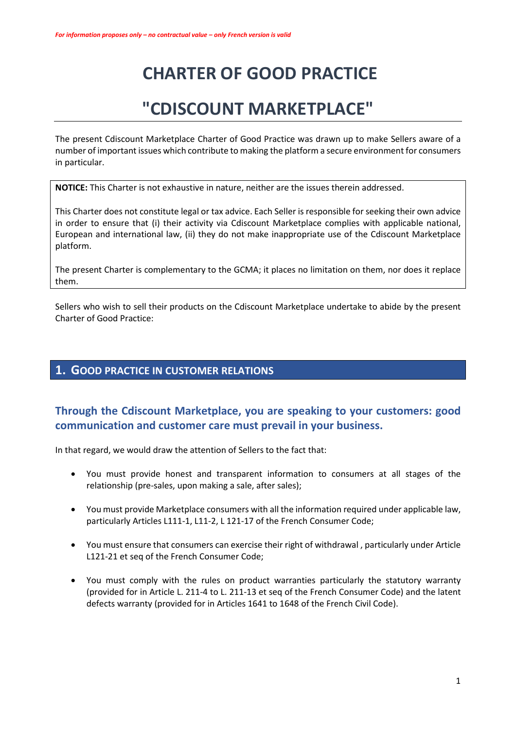# **CHARTER OF GOOD PRACTICE**

# **"CDISCOUNT MARKETPLACE"**

The present Cdiscount Marketplace Charter of Good Practice was drawn up to make Sellers aware of a number of important issues which contribute to making the platform a secure environment for consumers in particular.

**NOTICE:** This Charter is not exhaustive in nature, neither are the issues therein addressed.

This Charter does not constitute legal or tax advice. Each Seller is responsible forseeking their own advice in order to ensure that (i) their activity via Cdiscount Marketplace complies with applicable national, European and international law, (ii) they do not make inappropriate use of the Cdiscount Marketplace platform.

The present Charter is complementary to the GCMA; it places no limitation on them, nor does it replace them.

Sellers who wish to sell their products on the Cdiscount Marketplace undertake to abide by the present Charter of Good Practice:

### **1. GOOD PRACTICE IN CUSTOMER RELATIONS**

# **Through the Cdiscount Marketplace, you are speaking to your customers: good communication and customer care must prevail in your business.**

In that regard, we would draw the attention of Sellers to the fact that:

- You must provide honest and transparent information to consumers at all stages of the relationship (pre-sales, upon making a sale, after sales);
- You must provide Marketplace consumers with all the information required under applicable law, particularly Articles L111-1, L11-2, L 121-17 of the French Consumer Code;
- You must ensure that consumers can exercise their right of withdrawal , particularly under Article L121-21 et seq of the French Consumer Code;
- You must comply with the rules on product warranties particularly the statutory warranty (provided for in Article L. 211-4 to L. 211-13 et seq of the French Consumer Code) and the latent defects warranty (provided for in Articles 1641 to 1648 of the French Civil Code).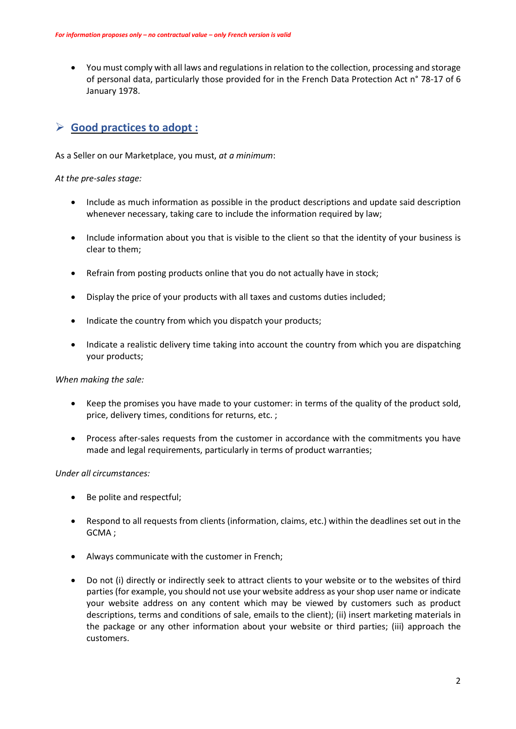• You must comply with all laws and regulations in relation to the collection, processing and storage of personal data, particularly those provided for in the French Data Protection Act n° 78-17 of 6 January 1978.

## **Good practices to adopt :**

As a Seller on our Marketplace, you must, *at a minimum*:

*At the pre-sales stage:*

- Include as much information as possible in the product descriptions and update said description whenever necessary, taking care to include the information required by law;
- Include information about you that is visible to the client so that the identity of your business is clear to them;
- Refrain from posting products online that you do not actually have in stock;
- Display the price of your products with all taxes and customs duties included;
- Indicate the country from which you dispatch your products;
- Indicate a realistic delivery time taking into account the country from which you are dispatching your products;

*When making the sale:*

- Keep the promises you have made to your customer: in terms of the quality of the product sold, price, delivery times, conditions for returns, etc. ;
- Process after-sales requests from the customer in accordance with the commitments you have made and legal requirements, particularly in terms of product warranties;

*Under all circumstances:*

- Be polite and respectful;
- Respond to all requests from clients (information, claims, etc.) within the deadlines set out in the GCMA ;
- Always communicate with the customer in French;
- Do not (i) directly or indirectly seek to attract clients to your website or to the websites of third parties (for example, you should not use your website address as yourshop user name or indicate your website address on any content which may be viewed by customers such as product descriptions, terms and conditions of sale, emails to the client); (ii) insert marketing materials in the package or any other information about your website or third parties; (iii) approach the customers.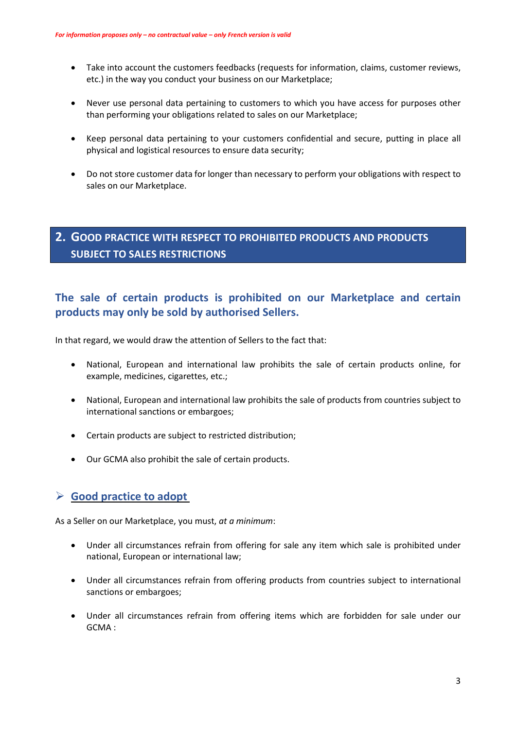- Take into account the customers feedbacks (requests for information, claims, customer reviews, etc.) in the way you conduct your business on our Marketplace;
- Never use personal data pertaining to customers to which you have access for purposes other than performing your obligations related to sales on our Marketplace;
- Keep personal data pertaining to your customers confidential and secure, putting in place all physical and logistical resources to ensure data security;
- Do not store customer data for longer than necessary to perform your obligations with respect to sales on our Marketplace.

# **2. GOOD PRACTICE WITH RESPECT TO PROHIBITED PRODUCTS AND PRODUCTS SUBJECT TO SALES RESTRICTIONS**

# **The sale of certain products is prohibited on our Marketplace and certain products may only be sold by authorised Sellers.**

In that regard, we would draw the attention of Sellers to the fact that:

- National, European and international law prohibits the sale of certain products online, for example, medicines, cigarettes, etc.;
- National, European and international law prohibits the sale of products from countries subject to international sanctions or embargoes;
- Certain products are subject to restricted distribution;
- Our GCMA also prohibit the sale of certain products.

#### **Good practice to adopt**

As a Seller on our Marketplace, you must, *at a minimum*:

- Under all circumstances refrain from offering for sale any item which sale is prohibited under national, European or international law;
- Under all circumstances refrain from offering products from countries subject to international sanctions or embargoes;
- Under all circumstances refrain from offering items which are forbidden for sale under our GCMA :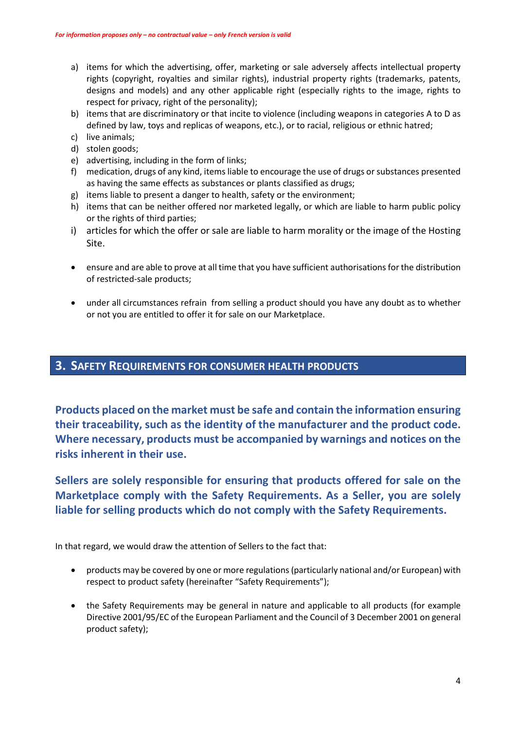- a) items for which the advertising, offer, marketing or sale adversely affects intellectual property rights (copyright, royalties and similar rights), industrial property rights (trademarks, patents, designs and models) and any other applicable right (especially rights to the image, rights to respect for privacy, right of the personality);
- b) items that are discriminatory or that incite to violence (including weapons in categories A to D as defined by law, toys and replicas of weapons, etc.), or to racial, religious or ethnic hatred;
- c) live animals;
- d) stolen goods;
- e) advertising, including in the form of links;
- f) medication, drugs of any kind, items liable to encourage the use of drugs or substances presented as having the same effects as substances or plants classified as drugs;
- g) items liable to present a danger to health, safety or the environment;
- h) items that can be neither offered nor marketed legally, or which are liable to harm public policy or the rights of third parties;
- i) articles for which the offer or sale are liable to harm morality or the image of the Hosting Site.
- ensure and are able to prove at all time that you have sufficient authorisationsforthe distribution of restricted-sale products;
- under all circumstances refrain from selling a product should you have any doubt as to whether or not you are entitled to offer it for sale on our Marketplace.

#### **3. SAFETY REQUIREMENTS FOR CONSUMER HEALTH PRODUCTS**

**Products placed on the market must be safe and contain the information ensuring their traceability, such as the identity of the manufacturer and the product code. Where necessary, products must be accompanied by warnings and notices on the risks inherent in their use.**

**Sellers are solely responsible for ensuring that products offered for sale on the Marketplace comply with the Safety Requirements. As a Seller, you are solely liable for selling products which do not comply with the Safety Requirements.**

In that regard, we would draw the attention of Sellers to the fact that:

- products may be covered by one or more regulations(particularly national and/or European) with respect to product safety (hereinafter "Safety Requirements");
- the Safety Requirements may be general in nature and applicable to all products (for example Directive 2001/95/EC of the European Parliament and the Council of 3 December 2001 on general product safety);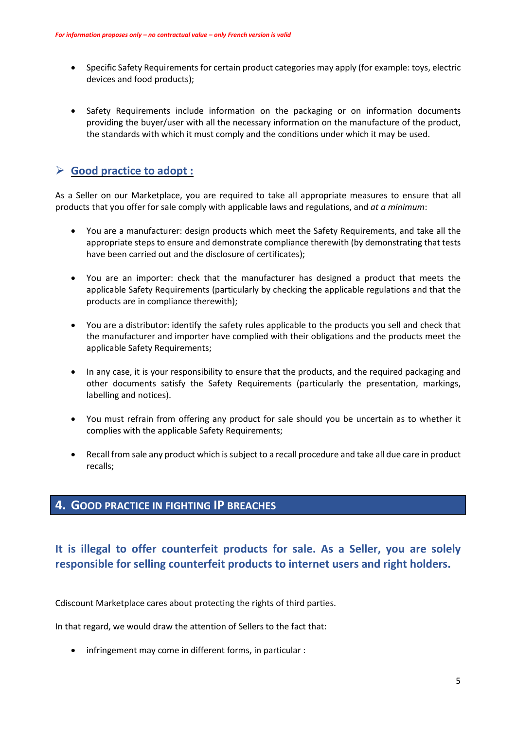- Specific Safety Requirements for certain product categories may apply (for example: toys, electric devices and food products);
- Safety Requirements include information on the packaging or on information documents providing the buyer/user with all the necessary information on the manufacture of the product, the standards with which it must comply and the conditions under which it may be used.

# **Good practice to adopt :**

As a Seller on our Marketplace, you are required to take all appropriate measures to ensure that all products that you offer for sale comply with applicable laws and regulations, and *at a minimum*:

- You are a manufacturer: design products which meet the Safety Requirements, and take all the appropriate steps to ensure and demonstrate compliance therewith (by demonstrating that tests have been carried out and the disclosure of certificates);
- You are an importer: check that the manufacturer has designed a product that meets the applicable Safety Requirements (particularly by checking the applicable regulations and that the products are in compliance therewith);
- You are a distributor: identify the safety rules applicable to the products you sell and check that the manufacturer and importer have complied with their obligations and the products meet the applicable Safety Requirements;
- In any case, it is your responsibility to ensure that the products, and the required packaging and other documents satisfy the Safety Requirements (particularly the presentation, markings, labelling and notices).
- You must refrain from offering any product for sale should you be uncertain as to whether it complies with the applicable Safety Requirements;
- Recall from sale any product which issubject to a recall procedure and take all due care in product recalls;

# **4. GOOD PRACTICE IN FIGHTING IP BREACHES**

# **It is illegal to offer counterfeit products for sale. As a Seller, you are solely responsible for selling counterfeit products to internet users and right holders.**

Cdiscount Marketplace cares about protecting the rights of third parties.

In that regard, we would draw the attention of Sellers to the fact that:

• infringement may come in different forms, in particular :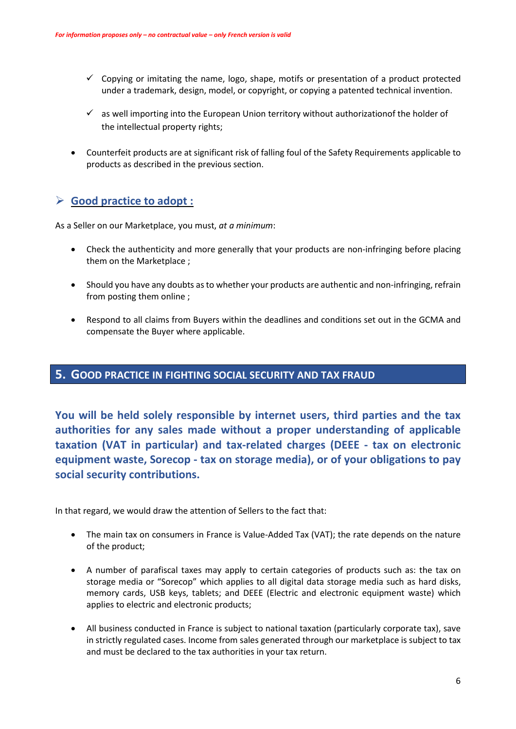- $\checkmark$  Copying or imitating the name, logo, shape, motifs or presentation of a product protected under a trademark, design, model, or copyright, or copying a patented technical invention.
- $\checkmark$  as well importing into the European Union territory without authorizationof the holder of the intellectual property rights;
- Counterfeit products are at significant risk of falling foul of the Safety Requirements applicable to products as described in the previous section.

### **Good practice to adopt :**

As a Seller on our Marketplace, you must, *at a minimum*:

- Check the authenticity and more generally that your products are non-infringing before placing them on the Marketplace ;
- Should you have any doubts asto whether your products are authentic and non-infringing, refrain from posting them online ;
- Respond to all claims from Buyers within the deadlines and conditions set out in the GCMA and compensate the Buyer where applicable.

#### **5. GOOD PRACTICE IN FIGHTING SOCIAL SECURITY AND TAX FRAUD**

**You will be held solely responsible by internet users, third parties and the tax authorities for any sales made without a proper understanding of applicable taxation (VAT in particular) and tax-related charges (DEEE - tax on electronic equipment waste, Sorecop - tax on storage media), or of your obligations to pay social security contributions.**

In that regard, we would draw the attention of Sellers to the fact that:

- The main tax on consumers in France is Value-Added Tax (VAT); the rate depends on the nature of the product;
- A number of parafiscal taxes may apply to certain categories of products such as: the tax on storage media or "Sorecop" which applies to all digital data storage media such as hard disks, memory cards, USB keys, tablets; and DEEE (Electric and electronic equipment waste) which applies to electric and electronic products;
- All business conducted in France is subject to national taxation (particularly corporate tax), save in strictly regulated cases. Income from sales generated through our marketplace is subject to tax and must be declared to the tax authorities in your tax return.